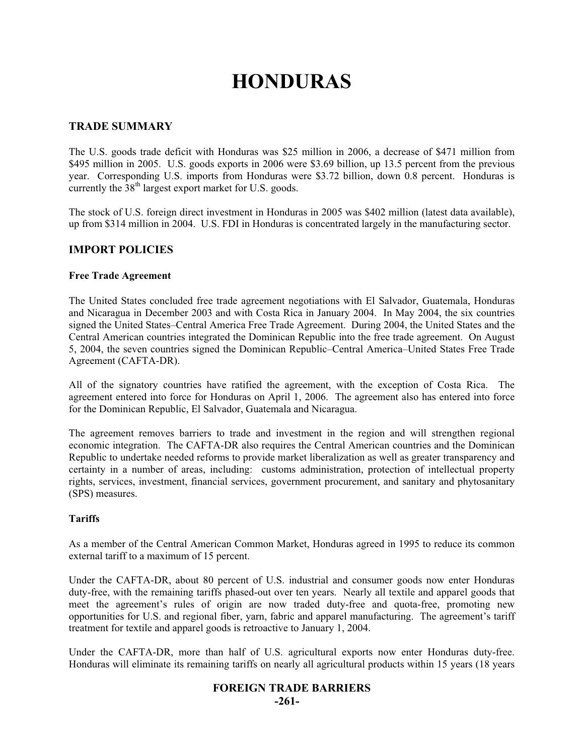# **HONDURAS**

## **TRADE SUMMARY**

The U.S. goods trade deficit with Honduras was \$25 million in 2006, a decrease of \$471 million from \$495 million in 2005. U.S. goods exports in 2006 were \$3.69 billion, up 13.5 percent from the previous year. Corresponding U.S. imports from Honduras were \$3.72 billion, down 0.8 percent. Honduras is currently the  $38<sup>th</sup>$  largest export market for U.S. goods.

The stock of U.S. foreign direct investment in Honduras in 2005 was \$402 million (latest data available), up from \$314 million in 2004. U.S. FDI in Honduras is concentrated largely in the manufacturing sector.

### **IMPORT POLICIES**

#### **Free Trade Agreement**

The United States concluded free trade agreement negotiations with El Salvador, Guatemala, Honduras and Nicaragua in December 2003 and with Costa Rica in January 2004. In May 2004, the six countries signed the United States–Central America Free Trade Agreement. During 2004, the United States and the Central American countries integrated the Dominican Republic into the free trade agreement. On August 5, 2004, the seven countries signed the Dominican Republic–Central America–United States Free Trade Agreement (CAFTA-DR).

All of the signatory countries have ratified the agreement, with the exception of Costa Rica. The agreement entered into force for Honduras on April 1, 2006. The agreement also has entered into force for the Dominican Republic, El Salvador, Guatemala and Nicaragua.

The agreement removes barriers to trade and investment in the region and will strengthen regional economic integration. The CAFTA-DR also requires the Central American countries and the Dominican Republic to undertake needed reforms to provide market liberalization as well as greater transparency and certainty in a number of areas, including: customs administration, protection of intellectual property rights, services, investment, financial services, government procurement, and sanitary and phytosanitary (SPS) measures.

#### **Tariffs**

As a member of the Central American Common Market, Honduras agreed in 1995 to reduce its common external tariff to a maximum of 15 percent.

Under the CAFTA-DR, about 80 percent of U.S. industrial and consumer goods now enter Honduras duty-free, with the remaining tariffs phased-out over ten years. Nearly all textile and apparel goods that meet the agreement's rules of origin are now traded duty-free and quota-free, promoting new opportunities for U.S. and regional fiber, yarn, fabric and apparel manufacturing. The agreement's tariff treatment for textile and apparel goods is retroactive to January 1, 2004.

Under the CAFTA-DR, more than half of U.S. agricultural exports now enter Honduras duty-free. Honduras will eliminate its remaining tariffs on nearly all agricultural products within 15 years (18 years

#### **FOREIGN TRADE BARRIERS**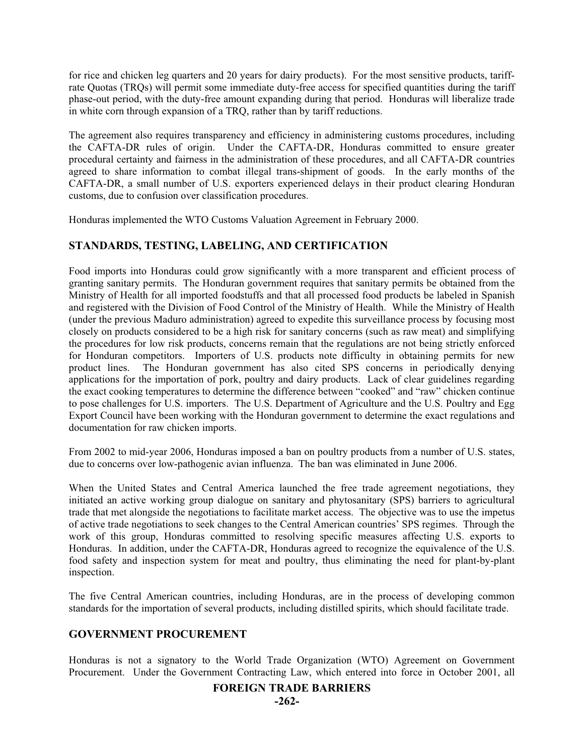for rice and chicken leg quarters and 20 years for dairy products). For the most sensitive products, tariffrate Quotas (TRQs) will permit some immediate duty-free access for specified quantities during the tariff phase-out period, with the duty-free amount expanding during that period. Honduras will liberalize trade in white corn through expansion of a TRQ, rather than by tariff reductions.

The agreement also requires transparency and efficiency in administering customs procedures, including the CAFTA-DR rules of origin. Under the CAFTA-DR, Honduras committed to ensure greater procedural certainty and fairness in the administration of these procedures, and all CAFTA-DR countries agreed to share information to combat illegal trans-shipment of goods. In the early months of the CAFTA-DR, a small number of U.S. exporters experienced delays in their product clearing Honduran customs, due to confusion over classification procedures.

Honduras implemented the WTO Customs Valuation Agreement in February 2000.

# **STANDARDS, TESTING, LABELING, AND CERTIFICATION**

Food imports into Honduras could grow significantly with a more transparent and efficient process of granting sanitary permits. The Honduran government requires that sanitary permits be obtained from the Ministry of Health for all imported foodstuffs and that all processed food products be labeled in Spanish and registered with the Division of Food Control of the Ministry of Health. While the Ministry of Health (under the previous Maduro administration) agreed to expedite this surveillance process by focusing most closely on products considered to be a high risk for sanitary concerns (such as raw meat) and simplifying the procedures for low risk products, concerns remain that the regulations are not being strictly enforced for Honduran competitors. Importers of U.S. products note difficulty in obtaining permits for new product lines. The Honduran government has also cited SPS concerns in periodically denying applications for the importation of pork, poultry and dairy products. Lack of clear guidelines regarding the exact cooking temperatures to determine the difference between "cooked" and "raw" chicken continue to pose challenges for U.S. importers. The U.S. Department of Agriculture and the U.S. Poultry and Egg Export Council have been working with the Honduran government to determine the exact regulations and documentation for raw chicken imports.

From 2002 to mid-year 2006, Honduras imposed a ban on poultry products from a number of U.S. states, due to concerns over low-pathogenic avian influenza. The ban was eliminated in June 2006.

When the United States and Central America launched the free trade agreement negotiations, they initiated an active working group dialogue on sanitary and phytosanitary (SPS) barriers to agricultural trade that met alongside the negotiations to facilitate market access. The objective was to use the impetus of active trade negotiations to seek changes to the Central American countries' SPS regimes. Through the work of this group, Honduras committed to resolving specific measures affecting U.S. exports to Honduras. In addition, under the CAFTA-DR, Honduras agreed to recognize the equivalence of the U.S. food safety and inspection system for meat and poultry, thus eliminating the need for plant-by-plant inspection.

The five Central American countries, including Honduras, are in the process of developing common standards for the importation of several products, including distilled spirits, which should facilitate trade.

# **GOVERNMENT PROCUREMENT**

Honduras is not a signatory to the World Trade Organization (WTO) Agreement on Government Procurement. Under the Government Contracting Law, which entered into force in October 2001, all

#### **FOREIGN TRADE BARRIERS**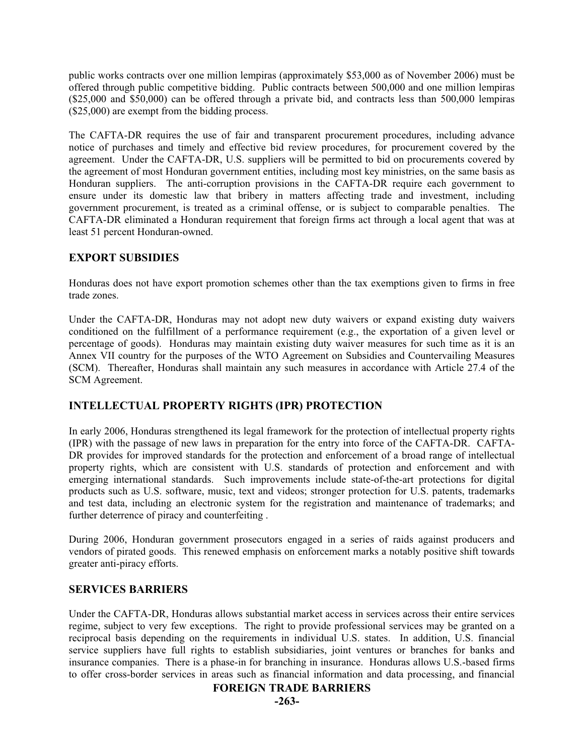public works contracts over one million lempiras (approximately \$53,000 as of November 2006) must be offered through public competitive bidding. Public contracts between 500,000 and one million lempiras (\$25,000 and \$50,000) can be offered through a private bid, and contracts less than 500,000 lempiras (\$25,000) are exempt from the bidding process.

The CAFTA-DR requires the use of fair and transparent procurement procedures, including advance notice of purchases and timely and effective bid review procedures, for procurement covered by the agreement. Under the CAFTA-DR, U.S. suppliers will be permitted to bid on procurements covered by the agreement of most Honduran government entities, including most key ministries, on the same basis as Honduran suppliers. The anti-corruption provisions in the CAFTA-DR require each government to ensure under its domestic law that bribery in matters affecting trade and investment, including government procurement, is treated as a criminal offense, or is subject to comparable penalties. The CAFTA-DR eliminated a Honduran requirement that foreign firms act through a local agent that was at least 51 percent Honduran-owned.

# **EXPORT SUBSIDIES**

Honduras does not have export promotion schemes other than the tax exemptions given to firms in free trade zones.

Under the CAFTA-DR, Honduras may not adopt new duty waivers or expand existing duty waivers conditioned on the fulfillment of a performance requirement (e.g., the exportation of a given level or percentage of goods). Honduras may maintain existing duty waiver measures for such time as it is an Annex VII country for the purposes of the WTO Agreement on Subsidies and Countervailing Measures (SCM). Thereafter, Honduras shall maintain any such measures in accordance with Article 27.4 of the SCM Agreement.

# **INTELLECTUAL PROPERTY RIGHTS (IPR) PROTECTION**

In early 2006, Honduras strengthened its legal framework for the protection of intellectual property rights (IPR) with the passage of new laws in preparation for the entry into force of the CAFTA-DR. CAFTA-DR provides for improved standards for the protection and enforcement of a broad range of intellectual property rights, which are consistent with U.S. standards of protection and enforcement and with emerging international standards. Such improvements include state-of-the-art protections for digital products such as U.S. software, music, text and videos; stronger protection for U.S. patents, trademarks and test data, including an electronic system for the registration and maintenance of trademarks; and further deterrence of piracy and counterfeiting .

During 2006, Honduran government prosecutors engaged in a series of raids against producers and vendors of pirated goods. This renewed emphasis on enforcement marks a notably positive shift towards greater anti-piracy efforts.

#### **SERVICES BARRIERS**

Under the CAFTA-DR, Honduras allows substantial market access in services across their entire services regime, subject to very few exceptions. The right to provide professional services may be granted on a reciprocal basis depending on the requirements in individual U.S. states. In addition, U.S. financial service suppliers have full rights to establish subsidiaries, joint ventures or branches for banks and insurance companies. There is a phase-in for branching in insurance. Honduras allows U.S.-based firms to offer cross-border services in areas such as financial information and data processing, and financial

#### **FOREIGN TRADE BARRIERS**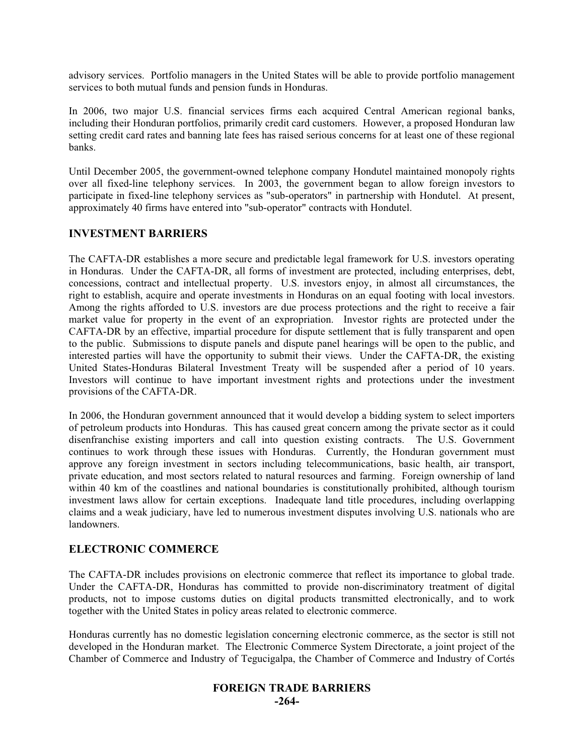advisory services. Portfolio managers in the United States will be able to provide portfolio management services to both mutual funds and pension funds in Honduras.

In 2006, two major U.S. financial services firms each acquired Central American regional banks, including their Honduran portfolios, primarily credit card customers. However, a proposed Honduran law setting credit card rates and banning late fees has raised serious concerns for at least one of these regional banks.

Until December 2005, the government-owned telephone company Hondutel maintained monopoly rights over all fixed-line telephony services. In 2003, the government began to allow foreign investors to participate in fixed-line telephony services as "sub-operators" in partnership with Hondutel. At present, approximately 40 firms have entered into "sub-operator" contracts with Hondutel.

### **INVESTMENT BARRIERS**

The CAFTA-DR establishes a more secure and predictable legal framework for U.S. investors operating in Honduras. Under the CAFTA-DR, all forms of investment are protected, including enterprises, debt, concessions, contract and intellectual property. U.S. investors enjoy, in almost all circumstances, the right to establish, acquire and operate investments in Honduras on an equal footing with local investors. Among the rights afforded to U.S. investors are due process protections and the right to receive a fair market value for property in the event of an expropriation. Investor rights are protected under the CAFTA-DR by an effective, impartial procedure for dispute settlement that is fully transparent and open to the public. Submissions to dispute panels and dispute panel hearings will be open to the public, and interested parties will have the opportunity to submit their views. Under the CAFTA-DR, the existing United States-Honduras Bilateral Investment Treaty will be suspended after a period of 10 years. Investors will continue to have important investment rights and protections under the investment provisions of the CAFTA-DR.

In 2006, the Honduran government announced that it would develop a bidding system to select importers of petroleum products into Honduras. This has caused great concern among the private sector as it could disenfranchise existing importers and call into question existing contracts. The U.S. Government continues to work through these issues with Honduras. Currently, the Honduran government must approve any foreign investment in sectors including telecommunications, basic health, air transport, private education, and most sectors related to natural resources and farming. Foreign ownership of land within 40 km of the coastlines and national boundaries is constitutionally prohibited, although tourism investment laws allow for certain exceptions. Inadequate land title procedures, including overlapping claims and a weak judiciary, have led to numerous investment disputes involving U.S. nationals who are landowners.

# **ELECTRONIC COMMERCE**

The CAFTA-DR includes provisions on electronic commerce that reflect its importance to global trade. Under the CAFTA-DR, Honduras has committed to provide non-discriminatory treatment of digital products, not to impose customs duties on digital products transmitted electronically, and to work together with the United States in policy areas related to electronic commerce.

Honduras currently has no domestic legislation concerning electronic commerce, as the sector is still not developed in the Honduran market. The Electronic Commerce System Directorate, a joint project of the Chamber of Commerce and Industry of Tegucigalpa, the Chamber of Commerce and Industry of Cortés

#### **FOREIGN TRADE BARRIERS -264-**